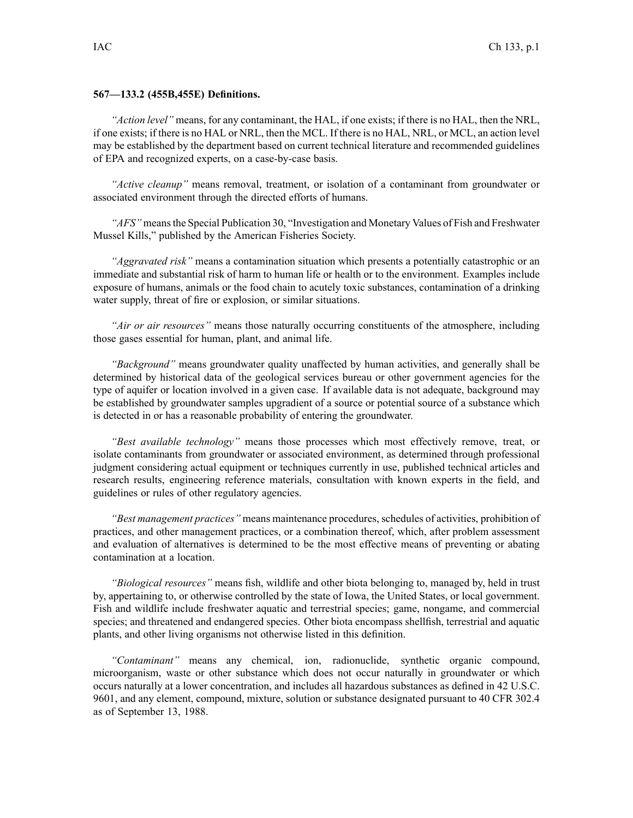## **567—133.2 (455B,455E) Definitions.**

*"Action level"* means, for any contaminant, the HAL, if one exists; if there is no HAL, then the NRL, if one exists; if there is no HAL or NRL, then the MCL. If there is no HAL, NRL, or MCL, an action level may be established by the department based on current technical literature and recommended guidelines of EPA and recognized experts, on <sup>a</sup> case-by-case basis.

*"Active cleanup"* means removal, treatment, or isolation of <sup>a</sup> contaminant from groundwater or associated environment through the directed efforts of humans.

*"AFS"* meansthe Special Publication 30, "Investigation and Monetary Values of Fish and Freshwater Mussel Kills," published by the American Fisheries Society.

*"Aggravated risk"* means <sup>a</sup> contamination situation which presents <sup>a</sup> potentially catastrophic or an immediate and substantial risk of harm to human life or health or to the environment. Examples include exposure of humans, animals or the food chain to acutely toxic substances, contamination of <sup>a</sup> drinking water supply, threat of fire or explosion, or similar situations.

*"Air or air resources"* means those naturally occurring constituents of the atmosphere, including those gases essential for human, plant, and animal life.

*"Background"* means groundwater quality unaffected by human activities, and generally shall be determined by historical data of the geological services bureau or other governmen<sup>t</sup> agencies for the type of aquifer or location involved in <sup>a</sup> given case. If available data is not adequate, background may be established by groundwater samples upgradient of <sup>a</sup> source or potential source of <sup>a</sup> substance which is detected in or has <sup>a</sup> reasonable probability of entering the groundwater.

*"Best available technology"* means those processes which most effectively remove, treat, or isolate contaminants from groundwater or associated environment, as determined through professional judgment considering actual equipment or techniques currently in use, published technical articles and research results, engineering reference materials, consultation with known experts in the field, and guidelines or rules of other regulatory agencies.

*"Best managemen<sup>t</sup> practices"* means maintenance procedures, schedules of activities, prohibition of practices, and other managemen<sup>t</sup> practices, or <sup>a</sup> combination thereof, which, after problem assessment and evaluation of alternatives is determined to be the most effective means of preventing or abating contamination at <sup>a</sup> location.

*"Biological resources"* means fish, wildlife and other biota belonging to, managed by, held in trust by, appertaining to, or otherwise controlled by the state of Iowa, the United States, or local government. Fish and wildlife include freshwater aquatic and terrestrial species; game, nongame, and commercial species; and threatened and endangered species. Other biota encompass shellfish, terrestrial and aquatic plants, and other living organisms not otherwise listed in this definition.

*"Contaminant"* means any chemical, ion, radionuclide, synthetic organic compound, microorganism, waste or other substance which does not occur naturally in groundwater or which occurs naturally at <sup>a</sup> lower concentration, and includes all hazardous substances as defined in 42 U.S.C. 9601, and any element, compound, mixture, solution or substance designated pursuan<sup>t</sup> to 40 CFR 302.4 as of September 13, 1988.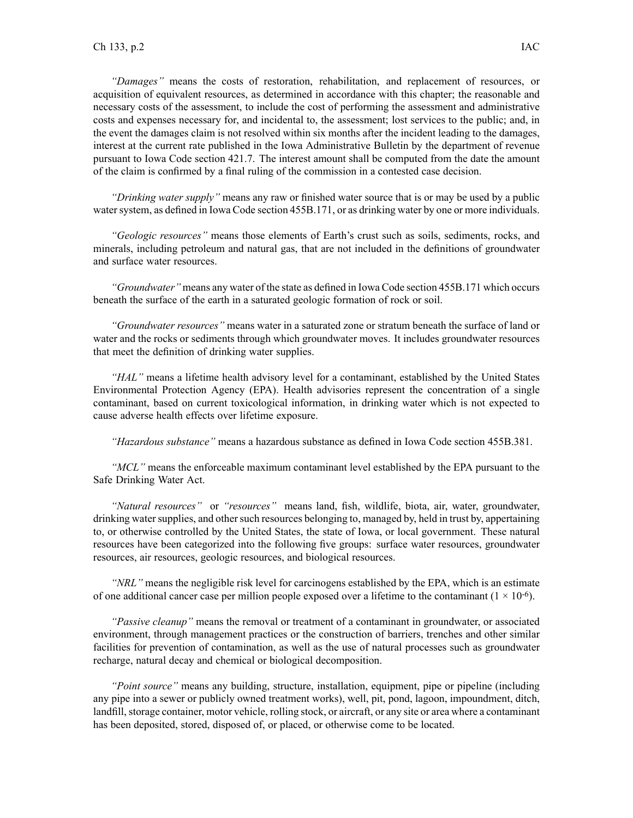*"Damages"* means the costs of restoration, rehabilitation, and replacement of resources, or acquisition of equivalent resources, as determined in accordance with this chapter; the reasonable and necessary costs of the assessment, to include the cost of performing the assessment and administrative costs and expenses necessary for, and incidental to, the assessment; lost services to the public; and, in the event the damages claim is not resolved within six months after the incident leading to the damages, interest at the current rate published in the Iowa Administrative Bulletin by the department of revenue pursuan<sup>t</sup> to Iowa Code section 421.7. The interest amount shall be computed from the date the amount of the claim is confirmed by <sup>a</sup> final ruling of the commission in <sup>a</sup> contested case decision.

*"Drinking water supply"* means any raw or finished water source that is or may be used by <sup>a</sup> public water system, as defined in Iowa Code section 455B.171, or as drinking water by one or more individuals.

*"Geologic resources"* means those elements of Earth's crust such as soils, sediments, rocks, and minerals, including petroleum and natural gas, that are not included in the definitions of groundwater and surface water resources.

*"Groundwater"* means any water of the state as defined in Iowa Code section 455B.171 which occurs beneath the surface of the earth in <sup>a</sup> saturated geologic formation of rock or soil.

*"Groundwater resources"* means water in <sup>a</sup> saturated zone or stratum beneath the surface of land or water and the rocks or sediments through which groundwater moves. It includes groundwater resources that meet the definition of drinking water supplies.

*"HAL"* means <sup>a</sup> lifetime health advisory level for <sup>a</sup> contaminant, established by the United States Environmental Protection Agency (EPA). Health advisories represen<sup>t</sup> the concentration of <sup>a</sup> single contaminant, based on current toxicological information, in drinking water which is not expected to cause adverse health effects over lifetime exposure.

*"Hazardous substance"* means <sup>a</sup> hazardous substance as defined in Iowa Code section 455B.381.

*"MCL"* means the enforceable maximum contaminant level established by the EPA pursuan<sup>t</sup> to the Safe Drinking Water Act.

*"Natural resources"* or *"resources"* means land, fish, wildlife, biota, air, water, groundwater, drinking water supplies, and other such resources belonging to, managed by, held in trust by, appertaining to, or otherwise controlled by the United States, the state of Iowa, or local government. These natural resources have been categorized into the following five groups: surface water resources, groundwater resources, air resources, geologic resources, and biological resources.

*"NRL"* means the negligible risk level for carcinogens established by the EPA, which is an estimate of one additional cancer case per million people exposed over a lifetime to the contaminant  $(1 \times 10^{-6})$ .

*"Passive cleanup"* means the removal or treatment of <sup>a</sup> contaminant in groundwater, or associated environment, through managemen<sup>t</sup> practices or the construction of barriers, trenches and other similar facilities for prevention of contamination, as well as the use of natural processes such as groundwater recharge, natural decay and chemical or biological decomposition.

*"Point source"* means any building, structure, installation, equipment, pipe or pipeline (including any pipe into <sup>a</sup> sewer or publicly owned treatment works), well, pit, pond, lagoon, impoundment, ditch, landfill, storage container, motor vehicle, rolling stock, or aircraft, or any site or area where a contaminant has been deposited, stored, disposed of, or placed, or otherwise come to be located.